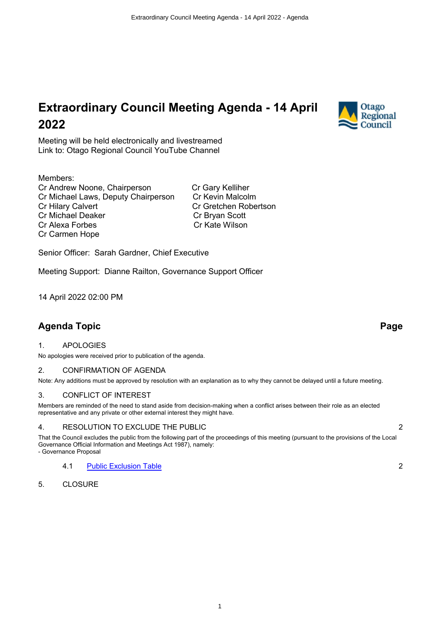# **Extraordinary Council Meeting Agenda - 14 April 2022**

Meeting will be held electronically and livestreamed Link to: Otago Regional Council YouTube Channel

### Members:

Cr Andrew Noone, Chairperson Cr Gary Kelliher Cr Michael Laws, Deputy Chairperson Cr Kevin Malcolm Cr Hilary Calvert Cr Gretchen Robertson Cr Michael Deaker Cr Bryan Scott Cr Alexa Forbes Cr Kate Wilson Cr Carmen Hope

Senior Officer: Sarah Gardner, Chief Executive

Meeting Support: Dianne Railton, Governance Support Officer

14 April 2022 02:00 PM

## **Agenda Topic Page**

#### 1. APOLOGIES

No apologies were received prior to publication of the agenda.

#### 2. CONFIRMATION OF AGENDA

Note: Any additions must be approved by resolution with an explanation as to why they cannot be delayed until a future meeting.

#### 3. CONFLICT OF INTEREST

Members are reminded of the need to stand aside from decision-making when a conflict arises between their role as an elected representative and any private or other external interest they might have.

#### 4. RESOLUTION TO EXCLUDE THE PUBLIC 2

That the Council excludes the public from the following part of the proceedings of this meeting (pursuant to the provisions of the Local Governance Official Information and Meetings Act 1987), namely: - Governance Proposal

4.1 [Public Exclusion Table](#page-1-0) 2

5. CLOSURE